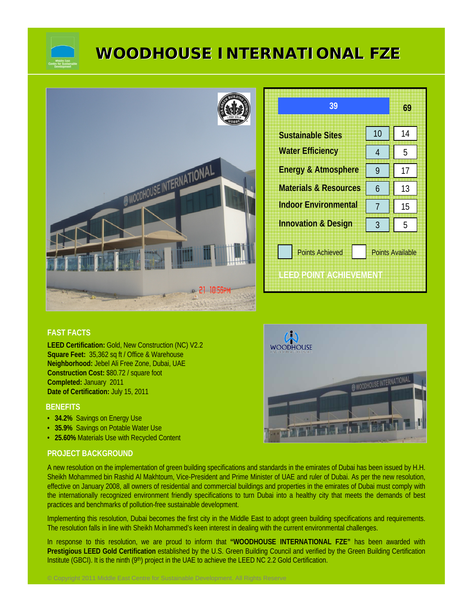

# **WOODHOUSE INTERNATIONAL FZE WOODHOUSE INTERNATIONAL FZE**



| 39                                                                          |    | 69 |  |
|-----------------------------------------------------------------------------|----|----|--|
| <b>Sustainable Sites</b>                                                    | 10 | 14 |  |
| <b>Water Efficiency</b>                                                     | 4  | 5  |  |
| <b>Energy &amp; Atmosphere</b>                                              | 9  | 17 |  |
| <b>Materials &amp; Resources</b>                                            | 6  | 13 |  |
| <b>Indoor Environmental</b>                                                 | 7  | 15 |  |
| <b>Innovation &amp; Design</b>                                              | 3  | 5  |  |
| <b>Points Achieved</b><br><b>Points Available</b><br>LEED POINT ACHIEVEMENT |    |    |  |

# **FAST FACTS**

**LEED Certification:** Gold, New Construction (NC) V2.2 **Square Feet:** 35,362 sq ft / Office & Warehouse **Neighborhood:** Jebel Ali Free Zone, Dubai, UAE **Construction Cost:** \$80.72 / square foot **Completed:** January 2011 **Date of Certification:** July 15, 2011

## **BENEFITS**

- **34.2%** Savings on Energy Use
- **35.9%** Savings on Potable Water Use
- **25.60%** Materials Use with Recycled Content

# **PROJECT BACKGROUND**

A new resolution on the implementation of green building specifications and standards in the emirates of Dubai has been issued by H.H. Sheikh Mohammed bin Rashid Al Makhtoum, Vice-President and Prime Minister of UAE and ruler of Dubai. As per the new resolution, effective on January 2008, all owners of residential and commercial buildings and properties in the emirates of Dubai must comply with the internationally recognized environment friendly specifications to turn Dubai into a healthy city that meets the demands of best practices and benchmarks of pollution-free sustainable development.

Implementing this resolution, Dubai becomes the first city in the Middle East to adopt green building specifications and requirements. The resolution falls in line with Sheikh Mohammed's keen interest in dealing with the current environmental challenges.

In response to this resolution, we are proud to inform that **"WOODHOUSE INTERNATIONAL FZE"** has been awarded with **Prestigious LEED Gold Certification** established by the U.S. Green Building Council and verified by the Green Building Certification Institute (GBCI). It is the ninth (9<sup>th</sup>) project in the UAE to achieve the LEED NC 2.2 Gold Certification.

© Copyright 2011 Middle East Centre for Sustainable Development. All Rights Reserve